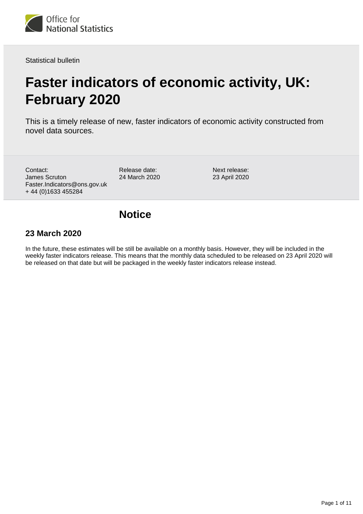

Statistical bulletin

# **Faster indicators of economic activity, UK: February 2020**

This is a timely release of new, faster indicators of economic activity constructed from novel data sources.

Contact: James Scruton Faster.Indicators@ons.gov.uk + 44 (0)1633 455284

Release date: 24 March 2020 Next release: 23 April 2020

## **Notice**

### **23 March 2020**

In the future, these estimates will be still be available on a monthly basis. However, they will be included in the weekly faster indicators release. This means that the monthly data scheduled to be released on 23 April 2020 will be released on that date but will be packaged in the weekly faster indicators release instead.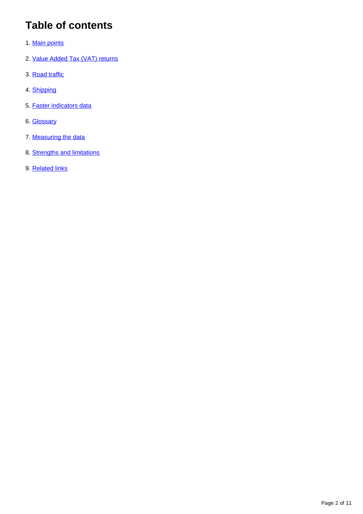# **Table of contents**

- 1. [Main points](#page-2-0)
- 2. [Value Added Tax \(VAT\) returns](#page-2-1)
- 3. [Road traffic](#page-7-0)
- 4. [Shipping](#page-7-1)
- 5. [Faster indicators data](#page-9-0)
- 6. [Glossary](#page-9-1)
- 7. [Measuring the data](#page-9-2)
- 8. [Strengths and limitations](#page-10-0)
- 9. [Related links](#page-10-1)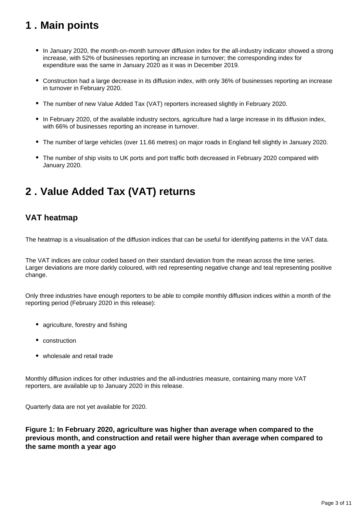# <span id="page-2-0"></span>**1 . Main points**

- In January 2020, the month-on-month turnover diffusion index for the all-industry indicator showed a strong increase, with 52% of businesses reporting an increase in turnover; the corresponding index for expenditure was the same in January 2020 as it was in December 2019.
- Construction had a large decrease in its diffusion index, with only 36% of businesses reporting an increase in turnover in February 2020.
- The number of new Value Added Tax (VAT) reporters increased slightly in February 2020.
- In February 2020, of the available industry sectors, agriculture had a large increase in its diffusion index, with 66% of businesses reporting an increase in turnover.
- The number of large vehicles (over 11.66 metres) on major roads in England fell slightly in January 2020.
- The number of ship visits to UK ports and port traffic both decreased in February 2020 compared with January 2020.

# <span id="page-2-1"></span>**2 . Value Added Tax (VAT) returns**

### **VAT heatmap**

The heatmap is a visualisation of the diffusion indices that can be useful for identifying patterns in the VAT data.

The VAT indices are colour coded based on their standard deviation from the mean across the time series. Larger deviations are more darkly coloured, with red representing negative change and teal representing positive change.

Only three industries have enough reporters to be able to compile monthly diffusion indices within a month of the reporting period (February 2020 in this release):

- agriculture, forestry and fishing
- construction
- wholesale and retail trade

Monthly diffusion indices for other industries and the all-industries measure, containing many more VAT reporters, are available up to January 2020 in this release.

Quarterly data are not yet available for 2020.

**Figure 1: In February 2020, agriculture was higher than average when compared to the previous month, and construction and retail were higher than average when compared to the same month a year ago**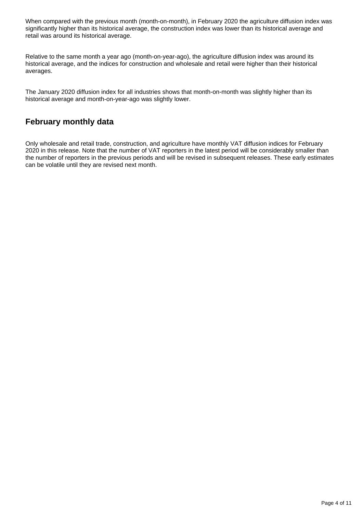When compared with the previous month (month-on-month), in February 2020 the agriculture diffusion index was significantly higher than its historical average, the construction index was lower than its historical average and retail was around its historical average.

Relative to the same month a year ago (month-on-year-ago), the agriculture diffusion index was around its historical average, and the indices for construction and wholesale and retail were higher than their historical averages.

The January 2020 diffusion index for all industries shows that month-on-month was slightly higher than its historical average and month-on-year-ago was slightly lower.

### **February monthly data**

Only wholesale and retail trade, construction, and agriculture have monthly VAT diffusion indices for February 2020 in this release. Note that the number of VAT reporters in the latest period will be considerably smaller than the number of reporters in the previous periods and will be revised in subsequent releases. These early estimates can be volatile until they are revised next month.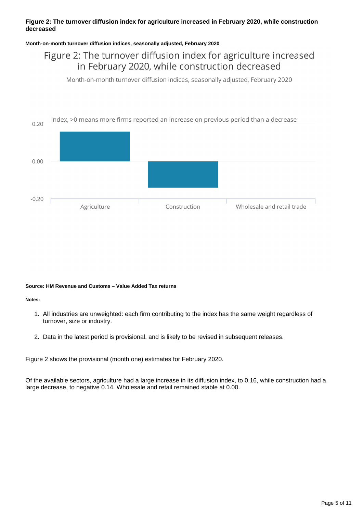### **Figure 2: The turnover diffusion index for agriculture increased in February 2020, while construction decreased**

### **Month-on-month turnover diffusion indices, seasonally adjusted, February 2020**

### Figure 2: The turnover diffusion index for agriculture increased in February 2020, while construction decreased

Month-on-month turnover diffusion indices, seasonally adjusted, February 2020



#### **Source: HM Revenue and Customs – Value Added Tax returns**

#### **Notes:**

- 1. All industries are unweighted: each firm contributing to the index has the same weight regardless of turnover, size or industry.
- 2. Data in the latest period is provisional, and is likely to be revised in subsequent releases.

Figure 2 shows the provisional (month one) estimates for February 2020.

Of the available sectors, agriculture had a large increase in its diffusion index, to 0.16, while construction had a large decrease, to negative 0.14. Wholesale and retail remained stable at 0.00.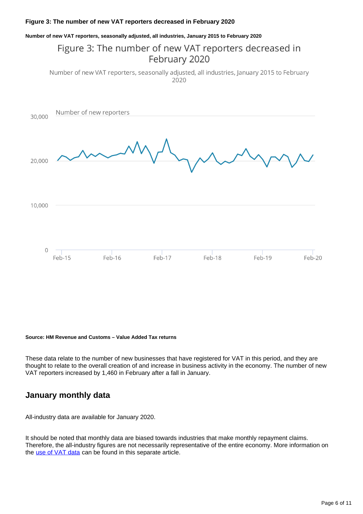### **Figure 3: The number of new VAT reporters decreased in February 2020**

#### **Number of new VAT reporters, seasonally adjusted, all industries, January 2015 to February 2020**

## Figure 3: The number of new VAT reporters decreased in February 2020

Number of new VAT reporters, seasonally adjusted, all industries, January 2015 to February  $2020$ 



#### **Source: HM Revenue and Customs – Value Added Tax returns**

These data relate to the number of new businesses that have registered for VAT in this period, and they are thought to relate to the overall creation of and increase in business activity in the economy. The number of new VAT reporters increased by 1,460 in February after a fall in January.

### **January monthly data**

All-industry data are available for January 2020.

It should be noted that monthly data are biased towards industries that make monthly repayment claims. Therefore, the all-industry figures are not necessarily representative of the entire economy. More information on the [use of VAT data](https://datasciencecampus.ons.gov.uk/faster-indicators-of-uk-economic-activity/) can be found in this separate article.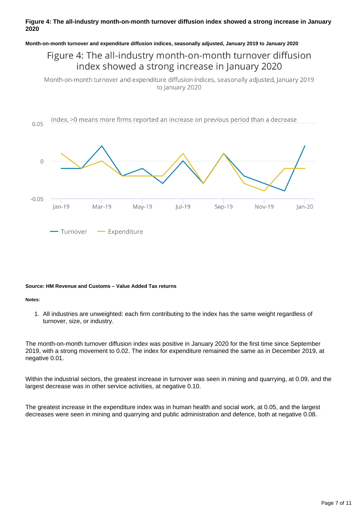### **Figure 4: The all-industry month-on-month turnover diffusion index showed a strong increase in January 2020**

#### **Month-on-month turnover and expenditure diffusion indices, seasonally adjusted, January 2019 to January 2020**

### Figure 4: The all-industry month-on-month turnover diffusion index showed a strong increase in January 2020

Month-on-month turnover and expenditure diffusion indices, seasonally adjusted, January 2019 to January 2020



#### **Source: HM Revenue and Customs – Value Added Tax returns**

#### **Notes:**

1. All industries are unweighted: each firm contributing to the index has the same weight regardless of turnover, size, or industry.

The month-on-month turnover diffusion index was positive in January 2020 for the first time since September 2019, with a strong movement to 0.02. The index for expenditure remained the same as in December 2019, at negative 0.01.

Within the industrial sectors, the greatest increase in turnover was seen in mining and quarrying, at 0.09, and the largest decrease was in other service activities, at negative 0.10.

The greatest increase in the expenditure index was in human health and social work, at 0.05, and the largest decreases were seen in mining and quarrying and public administration and defence, both at negative 0.08.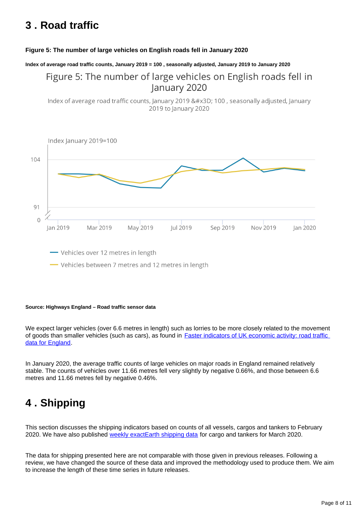## <span id="page-7-0"></span>**3 . Road traffic**

### **Figure 5: The number of large vehicles on English roads fell in January 2020**

**Index of average road traffic counts, January 2019 = 100 , seasonally adjusted, January 2019 to January 2020**

## Figure 5: The number of large vehicles on English roads fell in January 2020

Index of average road traffic counts, January 2019 = 100, seasonally adjusted, January 2019 to January 2020



#### **Source: Highways England – Road traffic sensor data**

We expect larger vehicles (over 6.6 metres in length) such as lorries to be more closely related to the movement of goods than smaller vehicles (such as cars), as found in [Faster indicators of UK economic activity: road traffic](https://datasciencecampus.ons.gov.uk/projects/faster-indicators-of-uk-economic-activity-road-traffic-data-for-england/)  [data for England](https://datasciencecampus.ons.gov.uk/projects/faster-indicators-of-uk-economic-activity-road-traffic-data-for-england/).

In January 2020, the average traffic counts of large vehicles on major roads in England remained relatively stable. The counts of vehicles over 11.66 metres fell very slightly by negative 0.66%, and those between 6.6 metres and 11.66 metres fell by negative 0.46%.

## <span id="page-7-1"></span>**4 . Shipping**

This section discusses the shipping indicators based on counts of all vessels, cargos and tankers to February 2020. We have also published [weekly exactEarth shipping data](https://www.ons.gov.uk/economy/economicoutputandproductivity/output/datasets/weeklyshippingindicators) for cargo and tankers for March 2020.

The data for shipping presented here are not comparable with those given in previous releases. Following a review, we have changed the source of these data and improved the methodology used to produce them. We aim to increase the length of these time series in future releases.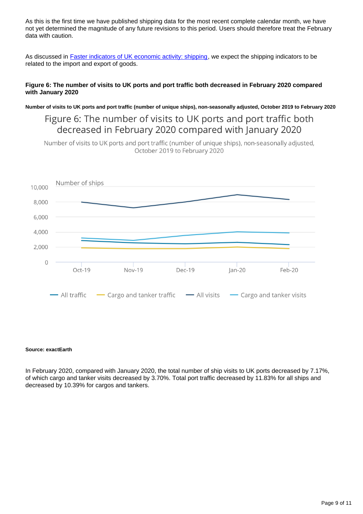As this is the first time we have published shipping data for the most recent complete calendar month, we have not yet determined the magnitude of any future revisions to this period. Users should therefore treat the February data with caution.

As discussed in **[Faster indicators of UK economic activity: shipping](https://datasciencecampus.ons.gov.uk/projects/faster-indicators-of-uk-economic-activity-shipping/)**, we expect the shipping indicators to be related to the import and export of goods.

### **Figure 6: The number of visits to UK ports and port traffic both decreased in February 2020 compared with January 2020**

**Number of visits to UK ports and port traffic (number of unique ships), non-seasonally adjusted, October 2019 to February 2020**

Figure 6: The number of visits to UK ports and port traffic both decreased in February 2020 compared with January 2020

Number of visits to UK ports and port traffic (number of unique ships), non-seasonally adjusted, October 2019 to February 2020



#### **Source: exactEarth**

In February 2020, compared with January 2020, the total number of ship visits to UK ports decreased by 7.17%, of which cargo and tanker visits decreased by 3.70%. Total port traffic decreased by 11.83% for all ships and decreased by 10.39% for cargos and tankers.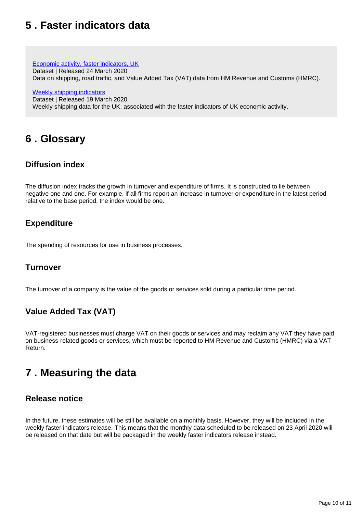## <span id="page-9-0"></span>**5 . Faster indicators data**

[Economic activity, faster indicators, UK](https://www.ons.gov.uk/economy/economicoutputandproductivity/output/datasets/economicactivityfasterindicatorsuk)

Dataset | Released 24 March 2020

Data on shipping, road traffic, and Value Added Tax (VAT) data from HM Revenue and Customs (HMRC).

[Weekly shipping indicators](https://www.ons.gov.uk/economy/economicoutputandproductivity/output/datasets/weeklyshippingindicators)

Dataset | Released 19 March 2020 Weekly shipping data for the UK, associated with the faster indicators of UK economic activity.

# <span id="page-9-1"></span>**6 . Glossary**

## **Diffusion index**

The diffusion index tracks the growth in turnover and expenditure of firms. It is constructed to lie between negative one and one. For example, if all firms report an increase in turnover or expenditure in the latest period relative to the base period, the index would be one.

### **Expenditure**

The spending of resources for use in business processes.

### **Turnover**

The turnover of a company is the value of the goods or services sold during a particular time period.

## **Value Added Tax (VAT)**

VAT-registered businesses must charge VAT on their goods or services and may reclaim any VAT they have paid on business-related goods or services, which must be reported to HM Revenue and Customs (HMRC) via a VAT Return.

## <span id="page-9-2"></span>**7 . Measuring the data**

### **Release notice**

In the future, these estimates will be still be available on a monthly basis. However, they will be included in the weekly faster indicators release. This means that the monthly data scheduled to be released on 23 April 2020 will be released on that date but will be packaged in the weekly faster indicators release instead.